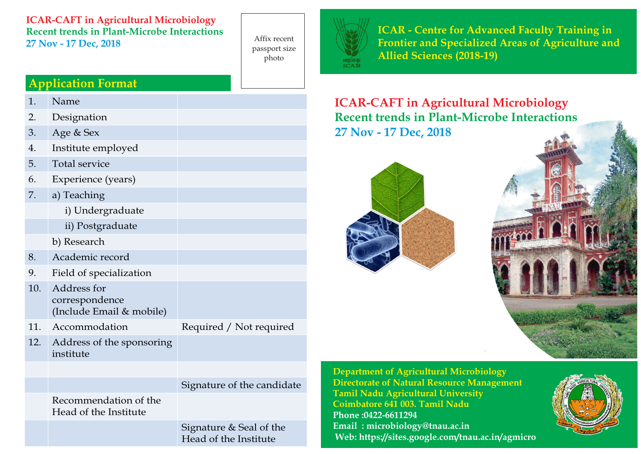### **ICAR-CAFT in Agricultural Microbiology Recent trends in Plant-Microbe Interactions 27 Nov - 17 Dec, 2018**

Affix recent passport size photo

# **Application Format**

- 1. Name
- 2. Designation
- 3. Age & Sex
- 4. Institute employed
- 5. Total service
- 6. Experience (years)
- 7. a) Teaching
	- i) Undergraduate
	- ii) Postgraduate
	- b) Research
- 8. Academic record
- 9. Field of specialization
- 10. Address for correspondence (Include Email & mobile)
- 11. Accommodation Required / Not required
- 12. Address of the sponsoring institute

# Signature of the candidate

Recommendation of the Head of the Institute

> Signature & Seal of the Head of the Institute



**ICAR - Centre for Advanced Faculty Training in Frontier and Specialized Areas of Agriculture and Allied Sciences (2018-19)**

# **ICAR-CAFT in Agricultural Microbiology Recent trends in Plant-Microbe Interactions 27 Nov - 17 Dec, 2018**





**Department of Agricultural Microbiology Directorate of Natural Resource Management Tamil Nadu Agricultural University Coimbatore 641 003. Tamil Nadu Phone :0422-6611294 Email : microbiology@tnau.ac.in Web: https://sites.google.com/tnau.ac.in/agmicro**